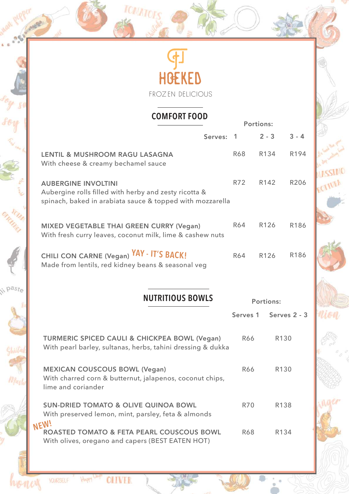|       | <b>HGEKED</b>                                                                                                           |            |                  |              |  |
|-------|-------------------------------------------------------------------------------------------------------------------------|------------|------------------|--------------|--|
|       | FROZEN DELICIOUS                                                                                                        |            |                  |              |  |
|       |                                                                                                                         |            |                  |              |  |
|       | <b>COMFORT FOOD</b><br><b>Portions:</b>                                                                                 |            |                  |              |  |
|       | Serves:                                                                                                                 | -1         | $2 - 3$          | $3 - 4$      |  |
|       | <b>LENTIL &amp; MUSHROOM RAGU LASAGNA</b><br>With cheese & creamy bechamel sauce                                        | <b>R68</b> | R134             | R194         |  |
|       | <b>AUBERGINE INVOLTINI</b>                                                                                              | R72        | R142             | <b>R206</b>  |  |
|       | Aubergine rolls filled with herby and zesty ricotta &<br>spinach, baked in arabiata sauce & topped with mozzarella      |            |                  |              |  |
|       | <b>MIXED VEGETABLE THAI GREEN CURRY (Vegan)</b><br>With fresh curry leaves, coconut milk, lime & cashew nuts            | R64        | R126             | R186         |  |
|       | CHILI CON CARNE (Vegan) YAY - IT'S BACK!<br>Made from lentils, red kidney beans & seasonal veg                          | R64        | R126             | R186         |  |
| paste |                                                                                                                         |            |                  |              |  |
|       | <b>NUTRITIOUS BOWLS</b>                                                                                                 |            | <b>Portions:</b> |              |  |
|       |                                                                                                                         | Serves 1   |                  | Serves 2 - 3 |  |
|       | <b>TURMERIC SPICED CAULI &amp; CHICKPEA BOWL (Vegan)</b><br>With pearl barley, sultanas, herbs, tahini dressing & dukka | R66        |                  | R130         |  |
|       | <b>MEXICAN COUSCOUS BOWL (Vegan)</b><br>With charred corn & butternut, jalapenos, coconut chips,<br>lime and coriander  | <b>R66</b> |                  | R130         |  |
|       | <b>SUN-DRIED TOMATO &amp; OLIVE QUINOA BOWL</b><br>With preserved lemon, mint, parsley, feta & almonds                  | <b>R70</b> |                  | R138         |  |
|       | NEW!<br>ROASTED TOMATO & FETA PEARL COUSCOUS BOWL<br>With olives, oregano and capers (BEST EATEN HOT)                   | <b>R68</b> |                  | R134         |  |

**MASSIMO** 

0

 $\frac{1}{9}$ o.

honey

VOURSELF

Happy Usipe OLIVER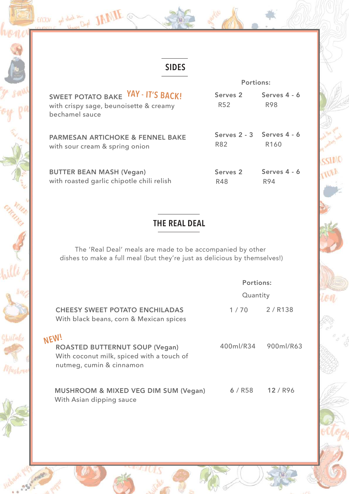



## **SIDES**

ENJOY get stuck in Count JAMIE @

|                                                                                                | <b>Portions:</b>                       |                              |  |
|------------------------------------------------------------------------------------------------|----------------------------------------|------------------------------|--|
| SWEET POTATO BAKE YAY - IT'S BACK!<br>with crispy sage, beunoisette & creamy<br>bechamel sauce | Serves <sub>2</sub><br>R <sub>52</sub> | Serves $4 - 6$<br><b>R98</b> |  |
| <b>PARMESAN ARTICHOKE &amp; FENNEL BAKE</b><br>with sour cream & spring onion                  | Serves 2 - 3 Serves 4 - 6<br>R82       | R <sub>160</sub>             |  |
| <b>BUTTER BEAN MASH (Vegan)</b><br>with roasted garlic chipotle chili relish                   | Serves <sub>2</sub><br>R48             | Serves $4 - 6$<br>R94        |  |

SSIMO

TIURA

#### **THE REAL DEAL**

The 'Real Deal' meals are made to be accompanied by other dishes to make a full meal (but they're just as delicious by themselves!)

|                                                                                                                        | <b>Portions:</b> |           |  |
|------------------------------------------------------------------------------------------------------------------------|------------------|-----------|--|
|                                                                                                                        | Quantity         |           |  |
| <b>CHEESY SWEET POTATO ENCHILADAS</b><br>With black beans, corn & Mexican spices                                       | 1/70             | 2 / R138  |  |
| NEW!<br><b>ROASTED BUTTERNUT SOUP (Vegan)</b><br>With coconut milk, spiced with a touch of<br>nutmeg, cumin & cinnamon | 400ml/R34        | 900ml/R63 |  |
| <b>MUSHROOM &amp; MIXED VEG DIM SUM (Vegan)</b><br>With Asian dipping sauce                                            | 6/RS8            | $12/$ R96 |  |

410,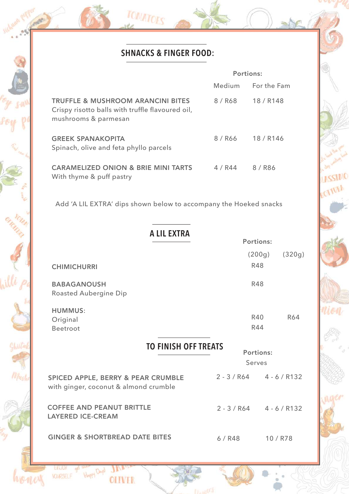## **SHNACKS & FINGER FOOD:**

TOMATOES

 $\mathcal{O}_{\mathfrak{a},\mathfrak{a}}^{\mathfrak{a}}$ 

0

Willi po

Ghiitak

Mushr

honey

Hoppy Days JANER

**OLIVER** 

EVERY get stil

|                                                                                                                          | <b>Portions:</b> |                                |  |  |
|--------------------------------------------------------------------------------------------------------------------------|------------------|--------------------------------|--|--|
|                                                                                                                          |                  | Medium For the Fam             |  |  |
| <b>TRUFFLE &amp; MUSHROOM ARANCINI BITES</b><br>Crispy risotto balls with truffle flavoured oil,<br>mushrooms & parmesan | 8 / R68          | 18 / R148                      |  |  |
| <b>GREEK SPANAKOPITA</b><br>Spinach, olive and feta phyllo parcels                                                       | 8 / R66          | 18 / R146                      |  |  |
| <b>CARAMELIZED ONION &amp; BRIE MINI TARTS</b><br>With thyme & puff pastry                                               | 4 / R44          | 8 / R <sub>86</sub>            |  |  |
| Add 'A LIL EXTRA' dips shown below to accompany the Hoeked snacks                                                        |                  |                                |  |  |
| <b>A LIL EXTRA</b><br><b>Portions:</b>                                                                                   |                  |                                |  |  |
| <b>CHIMICHURRI</b>                                                                                                       |                  | (200g)<br>(320g)<br><b>R48</b> |  |  |
| <b>BABAGANOUSH</b><br><b>Roasted Aubergine Dip</b>                                                                       |                  | <b>R48</b>                     |  |  |
| <b>HUMMUS:</b><br>Original<br><b>Beetroot</b>                                                                            |                  | R40<br>R64<br><b>R44</b>       |  |  |
| <b>TO FINISH OFF TREATS</b>                                                                                              |                  | <b>Portions:</b>               |  |  |
|                                                                                                                          |                  | Serves                         |  |  |
| <b>SPICED APPLE, BERRY &amp; PEAR CRUMBLE</b><br>with ginger, coconut & almond crumble                                   |                  | $2 - 3 / R64$ 4 - 6 / R132     |  |  |
| <b>COFFEE AND PEANUT BRITTLE</b><br><b>LAYERED ICE-CREAM</b>                                                             |                  | $2 - 3 / R64$ 4 - 6 / R132     |  |  |
| <b>GINGER &amp; SHORTBREAD DATE BITES</b>                                                                                | $6/$ R48         | 10 / R78                       |  |  |

ASSIMO

EQUIDER

nion

naer